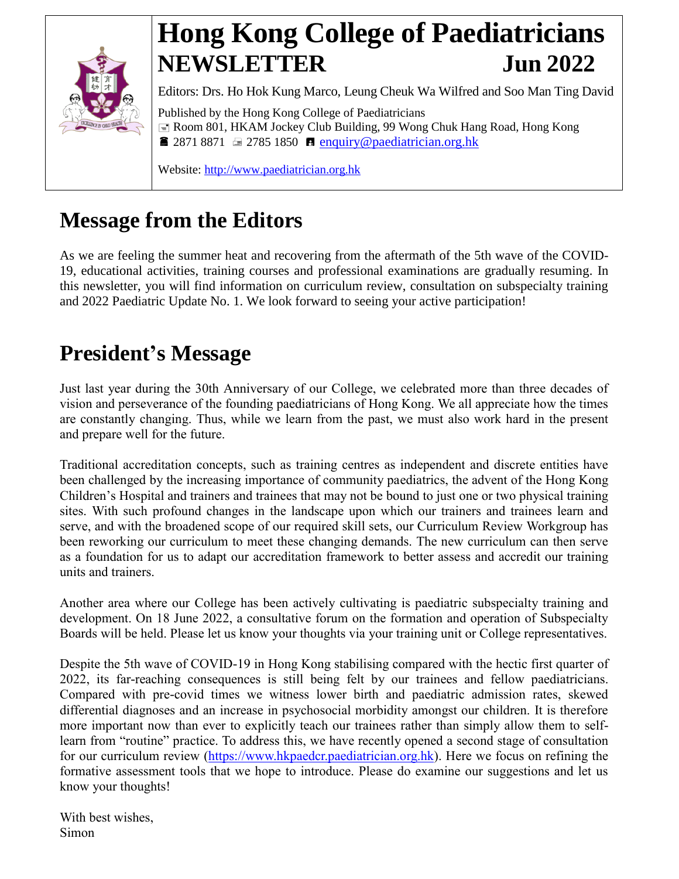

# **Hong Kong College of Paediatricians NEWSLETTER Jun 2022**

Editors: Drs. Ho Hok Kung Marco, Leung Cheuk Wa Wilfred and Soo Man Ting David Published by the Hong Kong College of Paediatricians Room 801, HKAM Jockey Club Building, 99 Wong Chuk Hang Road, Hong Kong **2871 8871**  $\equiv$  **2785 1850 <b>E** [enquiry@paediatrician.org.hk](mailto:enquiry@paediatrician.org.hk)

Website: [http://www.paediatrician.org.hk](http://www.paediatrician.org.hk/)

## **Message from the Editors**

As we are feeling the summer heat and recovering from the aftermath of the 5th wave of the COVID-19, educational activities, training courses and professional examinations are gradually resuming. In this newsletter, you will find information on curriculum review, consultation on subspecialty training and 2022 Paediatric Update No. 1. We look forward to seeing your active participation!

## **President's Message**

Just last year during the 30th Anniversary of our College, we celebrated more than three decades of vision and perseverance of the founding paediatricians of Hong Kong. We all appreciate how the times are constantly changing. Thus, while we learn from the past, we must also work hard in the present and prepare well for the future.

Traditional accreditation concepts, such as training centres as independent and discrete entities have been challenged by the increasing importance of community paediatrics, the advent of the Hong Kong Children's Hospital and trainers and trainees that may not be bound to just one or two physical training sites. With such profound changes in the landscape upon which our trainers and trainees learn and serve, and with the broadened scope of our required skill sets, our Curriculum Review Workgroup has been reworking our curriculum to meet these changing demands. The new curriculum can then serve as a foundation for us to adapt our accreditation framework to better assess and accredit our training units and trainers.

Another area where our College has been actively cultivating is paediatric subspecialty training and development. On 18 June 2022, a consultative forum on the formation and operation of Subspecialty Boards will be held. Please let us know your thoughts via your training unit or College representatives.

Despite the 5th wave of COVID-19 in Hong Kong stabilising compared with the hectic first quarter of 2022, its far-reaching consequences is still being felt by our trainees and fellow paediatricians. Compared with pre-covid times we witness lower birth and paediatric admission rates, skewed differential diagnoses and an increase in psychosocial morbidity amongst our children. It is therefore more important now than ever to explicitly teach our trainees rather than simply allow them to selflearn from "routine" practice. To address this, we have recently opened a second stage of consultation for our curriculum review [\(https://www.hkpaedcr.paediatrician.org.hk\)](https://www.hkpaedcr.paediatrician.org.hk/). Here we focus on refining the formative assessment tools that we hope to introduce. Please do examine our suggestions and let us know your thoughts!

With best wishes, Simon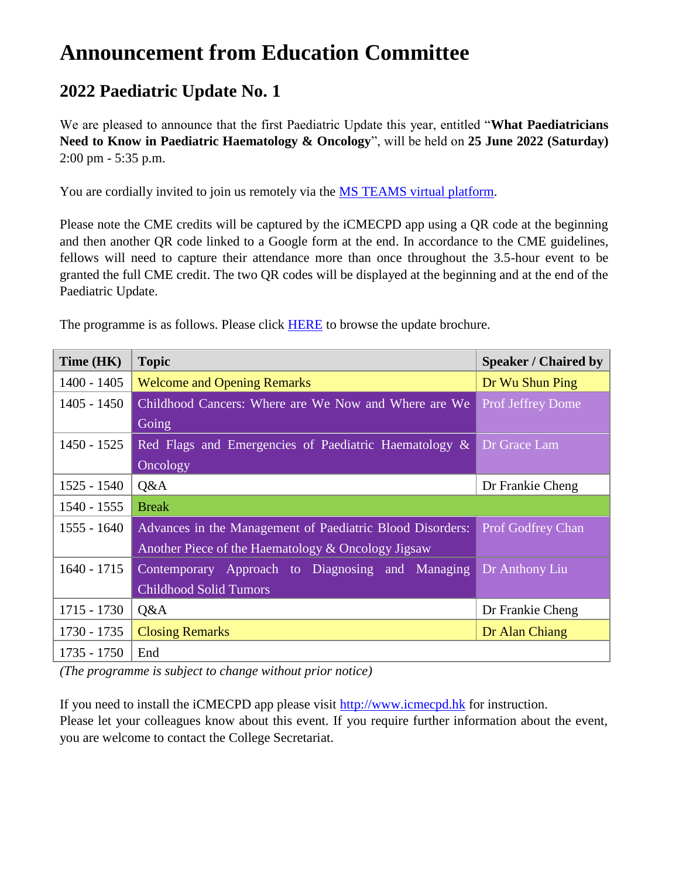## **Announcement from Education Committee**

### **2022 Paediatric Update No. 1**

We are pleased to announce that the first Paediatric Update this year, entitled "**What Paediatricians Need to Know in Paediatric Haematology & Oncology**", will be held on **25 June 2022 (Saturday)** 2:00 pm - 5:35 p.m.

You are cordially invited to join us remotely via the [MS TEAMS virtual platform.](https://teams.microsoft.com/l/meetup-join/19%3ameeting_Njk4ZTYxNjAtYTIxZC00OGFiLWJhYzItYzlhYzFkODMwOGRi%40thread.v2/0?context=%7b%22Tid%22%3a%22010772db-f408-47e4-b50e-3603d6165937%22%2c%22Oid%22%3a%222367dcbc-a962-4010-bfae-6aabeba972b4%22%7d)

Please note the CME credits will be captured by the iCMECPD app using a QR code at the beginning and then another QR code linked to a Google form at the end. In accordance to the CME guidelines, fellows will need to capture their attendance more than once throughout the 3.5-hour event to be granted the full CME credit. The two QR codes will be displayed at the beginning and at the end of the Paediatric Update.

| Time (HK)     | <b>Topic</b>                                                                   | <b>Speaker / Chaired by</b> |  |
|---------------|--------------------------------------------------------------------------------|-----------------------------|--|
| $1400 - 1405$ | <b>Welcome and Opening Remarks</b>                                             | Dr Wu Shun Ping             |  |
| $1405 - 1450$ | Childhood Cancers: Where are We Now and Where are We                           | <b>Prof Jeffrey Dome</b>    |  |
|               | Going                                                                          |                             |  |
| $1450 - 1525$ | Red Flags and Emergencies of Paediatric Haematology &                          | Dr Grace Lam                |  |
|               | Oncology                                                                       |                             |  |
| $1525 - 1540$ | Q&A<br>Dr Frankie Cheng                                                        |                             |  |
| 1540 - 1555   | <b>Break</b>                                                                   |                             |  |
| $1555 - 1640$ | Advances in the Management of Paediatric Blood Disorders:<br>Prof Godfrey Chan |                             |  |
|               | Another Piece of the Haematology & Oncology Jigsaw                             |                             |  |
| $1640 - 1715$ | Contemporary Approach to Diagnosing and Managing                               | Dr Anthony Liu              |  |
|               | <b>Childhood Solid Tumors</b>                                                  |                             |  |
| $1715 - 1730$ | Q&A                                                                            | Dr Frankie Cheng            |  |
| 1730 - 1735   | <b>Closing Remarks</b><br>Dr Alan Chiang                                       |                             |  |
| $1735 - 1750$ | End                                                                            |                             |  |

The programme is as follows. Please click [HERE](http://www.paediatrician.org.hk/index.php?option=com_docman&task=doc_view&gid=2147&Itemid=66) to browse the update brochure.

*(The programme is subject to change without prior notice)*

If you need to install the iCMECPD app please visit [http://www.icmecpd.hk](http://www.icmecpd.hk/) for instruction. Please let your colleagues know about this event. If you require further information about the event, you are welcome to contact the College Secretariat.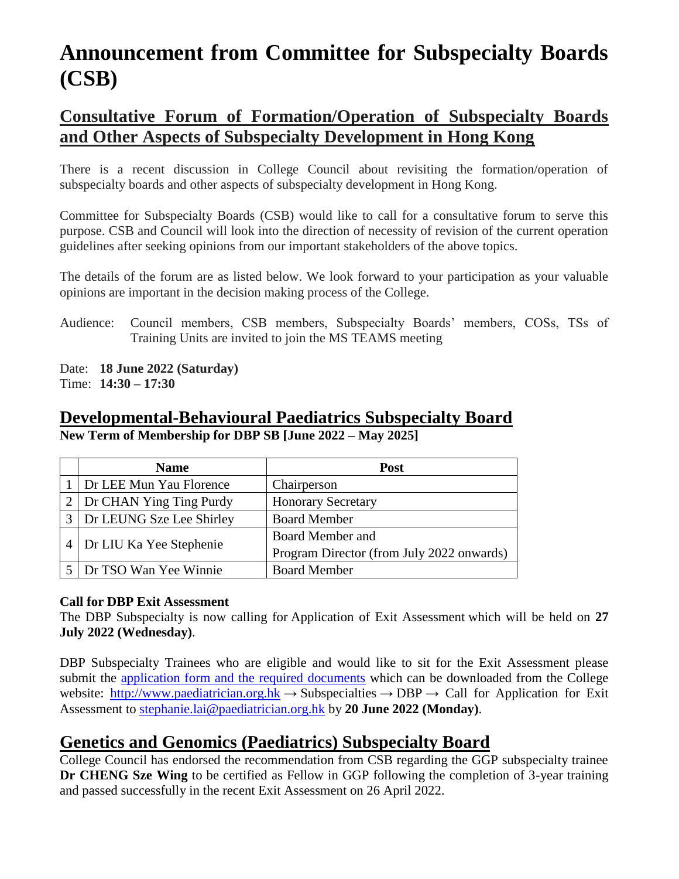## **Announcement from Committee for Subspecialty Boards (CSB)**

### **Consultative Forum of Formation/Operation of Subspecialty Boards and Other Aspects of Subspecialty Development in Hong Kong**

There is a recent discussion in College Council about revisiting the formation/operation of subspecialty boards and other aspects of subspecialty development in Hong Kong.

Committee for Subspecialty Boards (CSB) would like to call for a consultative forum to serve this purpose. CSB and Council will look into the direction of necessity of revision of the current operation guidelines after seeking opinions from our important stakeholders of the above topics.

The details of the forum are as listed below. We look forward to your participation as your valuable opinions are important in the decision making process of the College.

Audience: Council members, CSB members, Subspecialty Boards' members, COSs, TSs of Training Units are invited to join the MS TEAMS meeting

Date: **18 June 2022 (Saturday)** Time: **14:30 – 17:30**

#### **Developmental-Behavioural Paediatrics Subspecialty Board New Term of Membership for DBP SB [June 2022 – May 2025]**

|                | <b>Name</b>              | <b>Post</b>                               |
|----------------|--------------------------|-------------------------------------------|
|                | Dr LEE Mun Yau Florence  | Chairperson                               |
|                | Dr CHAN Ying Ting Purdy  | <b>Honorary Secretary</b>                 |
|                | Dr LEUNG Sze Lee Shirley | <b>Board Member</b>                       |
| $\overline{4}$ |                          | Board Member and                          |
|                | Dr LIU Ka Yee Stephenie  | Program Director (from July 2022 onwards) |
|                | Dr TSO Wan Yee Winnie    | <b>Board Member</b>                       |

#### **Call for DBP Exit Assessment**

The DBP Subspecialty is now calling for Application of Exit Assessment which will be held on **27 July 2022 (Wednesday)**.

DBP Subspecialty Trainees who are eligible and would like to sit for the Exit Assessment please submit the [application form and the required documents](http://www.paediatrician.org.hk/index.php?option=com_content&view=article&id=72&Itemid=76) which can be downloaded from the College website: [http://www.paediatrician.org.hk](http://www.paediatrician.org.hk/)  $\rightarrow$  Subspecialties  $\rightarrow$  DBP  $\rightarrow$  Call for Application for Exit Assessment to [stephanie.lai@paediatrician.org.hk](mailto:stephanie.lai@paediatrician.org.hk) by **20 June 2022 (Monday)**.

### **Genetics and Genomics (Paediatrics) Subspecialty Board**

College Council has endorsed the recommendation from CSB regarding the GGP subspecialty trainee **Dr CHENG Sze Wing** to be certified as Fellow in GGP following the completion of 3-year training and passed successfully in the recent Exit Assessment on 26 April 2022.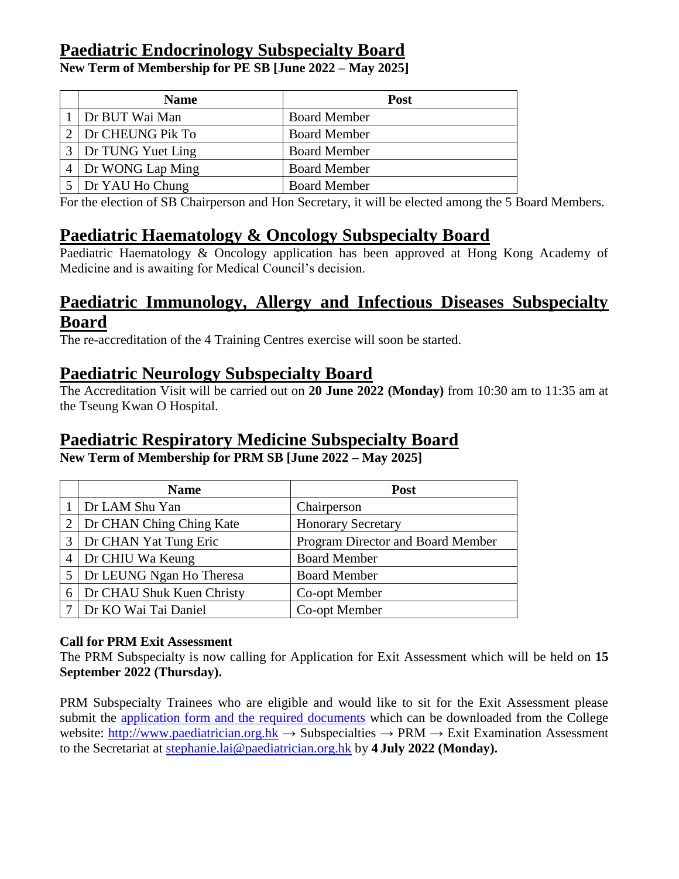### **Paediatric Endocrinology Subspecialty Board**

**New Term of Membership for PE SB [June 2022 – May 2025]**

| <b>Name</b>       | <b>Post</b>         |
|-------------------|---------------------|
| Dr BUT Wai Man    | <b>Board Member</b> |
| Dr CHEUNG Pik To  | <b>Board Member</b> |
| Dr TUNG Yuet Ling | <b>Board Member</b> |
| Dr WONG Lap Ming  | <b>Board Member</b> |
| Dr YAU Ho Chung   | <b>Board Member</b> |

For the election of SB Chairperson and Hon Secretary, it will be elected among the 5 Board Members.

#### **Paediatric Haematology & Oncology Subspecialty Board**

Paediatric Haematology & Oncology application has been approved at Hong Kong Academy of Medicine and is awaiting for Medical Council's decision.

#### **Paediatric Immunology, Allergy and Infectious Diseases Subspecialty Board**

The re-accreditation of the 4 Training Centres exercise will soon be started.

#### **Paediatric Neurology Subspecialty Board**

The Accreditation Visit will be carried out on **20 June 2022 (Monday)** from 10:30 am to 11:35 am at the Tseung Kwan O Hospital.

#### **Paediatric Respiratory Medicine Subspecialty Board**

**New Term of Membership for PRM SB [June 2022 – May 2025]**

|                | <b>Name</b>               | Post                              |
|----------------|---------------------------|-----------------------------------|
|                | 1 Dr LAM Shu Yan          | Chairperson                       |
| $2^{\circ}$    | Dr CHAN Ching Ching Kate  | <b>Honorary Secretary</b>         |
| 3              | Dr CHAN Yat Tung Eric     | Program Director and Board Member |
| $\overline{4}$ | Dr CHIU Wa Keung          | <b>Board Member</b>               |
|                | Dr LEUNG Ngan Ho Theresa  | <b>Board Member</b>               |
| 6              | Dr CHAU Shuk Kuen Christy | Co-opt Member                     |
|                | Dr KO Wai Tai Daniel      | Co-opt Member                     |

#### **Call for PRM Exit Assessment**

The PRM Subspecialty is now calling for Application for Exit Assessment which will be held on **15 September 2022 (Thursday).**

PRM Subspecialty Trainees who are eligible and would like to sit for the Exit Assessment please submit the [application form and the required documents](http://www.paediatrician.org.hk/index.php?option=com_content&view=article&id=73&Itemid=77) which can be downloaded from the College website: [http://www.paediatrician.org.hk](http://www.paediatrician.org.hk/) → Subspecialties → PRM → Exit Examination Assessment to the Secretariat at [stephanie.lai@paediatrician.org.hk](mailto:stephanie.lai@paediatrician.org.hk) by **4 July 2022 (Monday).**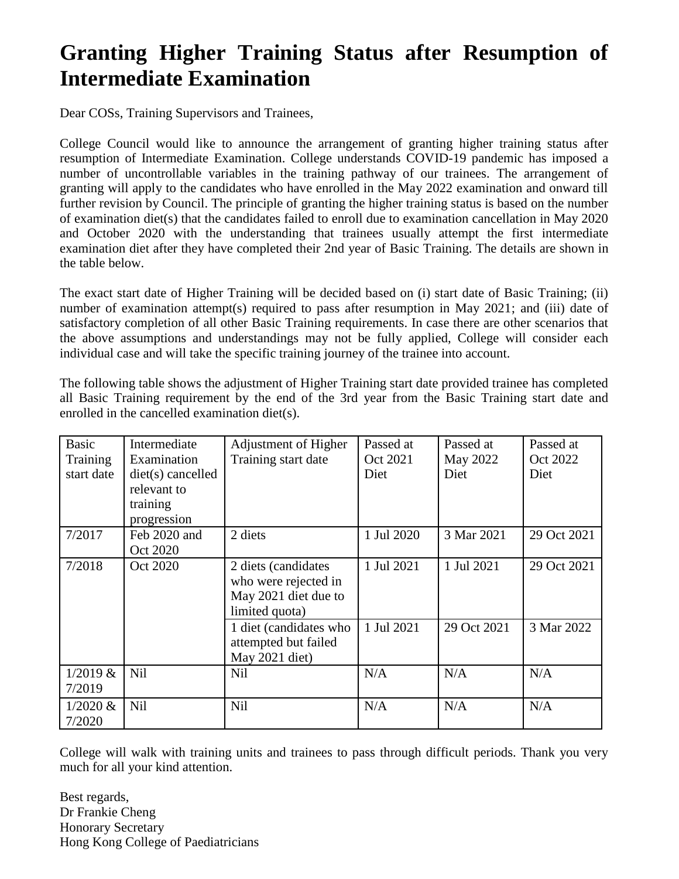## **Granting Higher Training Status after Resumption of Intermediate Examination**

Dear COSs, Training Supervisors and Trainees,

College Council would like to announce the arrangement of granting higher training status after resumption of Intermediate Examination. College understands COVID-19 pandemic has imposed a number of uncontrollable variables in the training pathway of our trainees. The arrangement of granting will apply to the candidates who have enrolled in the May 2022 examination and onward till further revision by Council. The principle of granting the higher training status is based on the number of examination diet(s) that the candidates failed to enroll due to examination cancellation in May 2020 and October 2020 with the understanding that trainees usually attempt the first intermediate examination diet after they have completed their 2nd year of Basic Training. The details are shown in the table below.

The exact start date of Higher Training will be decided based on (i) start date of Basic Training; (ii) number of examination attempt(s) required to pass after resumption in May 2021; and (iii) date of satisfactory completion of all other Basic Training requirements. In case there are other scenarios that the above assumptions and understandings may not be fully applied, College will consider each individual case and will take the specific training journey of the trainee into account.

The following table shows the adjustment of Higher Training start date provided trainee has completed all Basic Training requirement by the end of the 3rd year from the Basic Training start date and enrolled in the cancelled examination diet(s).

| <b>Basic</b><br>Training<br>start date | Intermediate<br>Examination<br>$dist(s)$ cancelled<br>relevant to<br>training<br>progression | Adjustment of Higher<br>Training start date                                           | Passed at<br>Oct 2021<br>Diet | Passed at<br>May 2022<br>Diet | Passed at<br>Oct 2022<br>Diet |
|----------------------------------------|----------------------------------------------------------------------------------------------|---------------------------------------------------------------------------------------|-------------------------------|-------------------------------|-------------------------------|
| 7/2017                                 | Feb 2020 and<br>Oct 2020                                                                     | 2 diets                                                                               | 1 Jul 2020                    | 3 Mar 2021                    | 29 Oct 2021                   |
| 7/2018                                 | Oct 2020                                                                                     | 2 diets (candidates<br>who were rejected in<br>May 2021 diet due to<br>limited quota) | 1 Jul 2021                    | 1 Jul 2021                    | 29 Oct 2021                   |
|                                        |                                                                                              | 1 diet (candidates who<br>attempted but failed<br>May 2021 diet)                      | 1 Jul 2021                    | 29 Oct 2021                   | 3 Mar 2022                    |
| 1/2019 &<br>7/2019                     | Nil                                                                                          | Nil                                                                                   | N/A                           | N/A                           | N/A                           |
| $1/2020 \&$<br>7/2020                  | <b>Nil</b>                                                                                   | Nil                                                                                   | N/A                           | N/A                           | N/A                           |

College will walk with training units and trainees to pass through difficult periods. Thank you very much for all your kind attention.

Best regards, Dr Frankie Cheng Honorary Secretary Hong Kong College of Paediatricians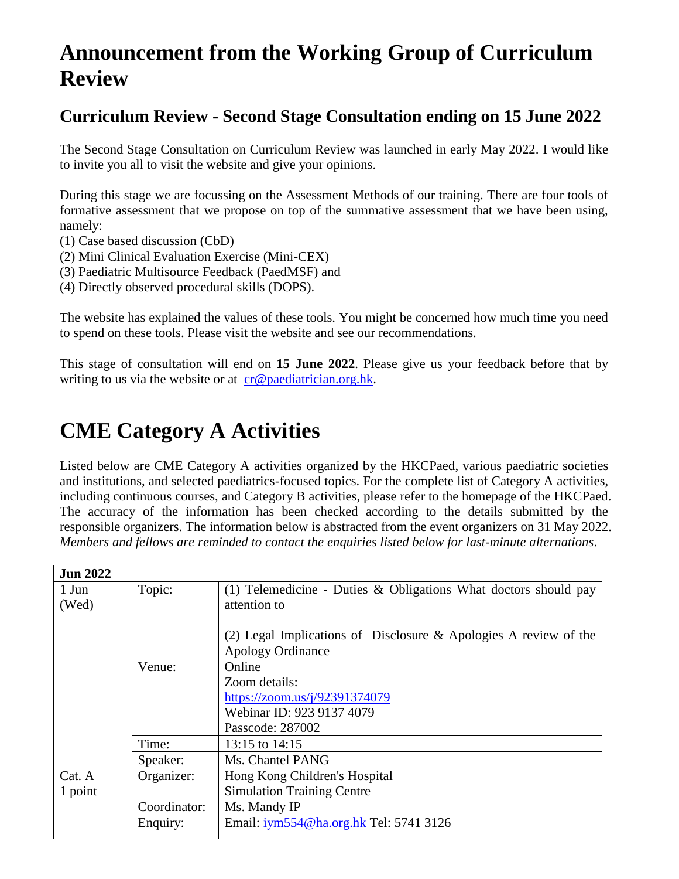### **Announcement from the Working Group of Curriculum Review**

### **Curriculum Review - Second Stage Consultation ending on 15 June 2022**

The Second Stage Consultation on Curriculum Review was launched in early May 2022. I would like to invite you all to visit the website and give your opinions.

During this stage we are focussing on the Assessment Methods of our training. There are four tools of formative assessment that we propose on top of the summative assessment that we have been using, namely:

- (1) Case based discussion (CbD)
- (2) Mini Clinical Evaluation Exercise (Mini-CEX)
- (3) Paediatric Multisource Feedback (PaedMSF) and
- (4) Directly observed procedural skills (DOPS).

The website has explained the values of these tools. You might be concerned how much time you need to spend on these tools. Please visit the website and see our recommendations.

This stage of consultation will end on **15 June 2022**. Please give us your feedback before that by writing to us via the website or at  $cr@paediation.org.hk$ .

### **CME Category A Activities**

Listed below are CME Category A activities organized by the HKCPaed, various paediatric societies and institutions, and selected paediatrics-focused topics. For the complete list of Category A activities, including continuous courses, and Category B activities, please refer to the homepage of the HKCPaed. The accuracy of the information has been checked according to the details submitted by the responsible organizers. The information below is abstracted from the event organizers on 31 May 2022. *Members and fellows are reminded to contact the enquiries listed below for last-minute alternations*.

| <b>Jun 2022</b> |              |                                                                     |
|-----------------|--------------|---------------------------------------------------------------------|
| 1 Jun           | Topic:       | (1) Telemedicine - Duties $\&$ Obligations What doctors should pay  |
| (Wed)           |              | attention to                                                        |
|                 |              |                                                                     |
|                 |              | (2) Legal Implications of Disclosure $\&$ Apologies A review of the |
|                 |              | <b>Apology Ordinance</b>                                            |
|                 | Venue:       | Online                                                              |
|                 |              | Zoom details:                                                       |
|                 |              | https://zoom.us/j/92391374079                                       |
|                 |              | Webinar ID: 923 9137 4079                                           |
|                 |              | Passcode: 287002                                                    |
|                 | Time:        | 13:15 to 14:15                                                      |
|                 | Speaker:     | Ms. Chantel PANG                                                    |
| Cat. A          | Organizer:   | Hong Kong Children's Hospital                                       |
| 1 point         |              | <b>Simulation Training Centre</b>                                   |
|                 | Coordinator: | Ms. Mandy IP                                                        |
|                 | Enquiry:     | Email: iym554@ha.org.hk Tel: 5741 3126                              |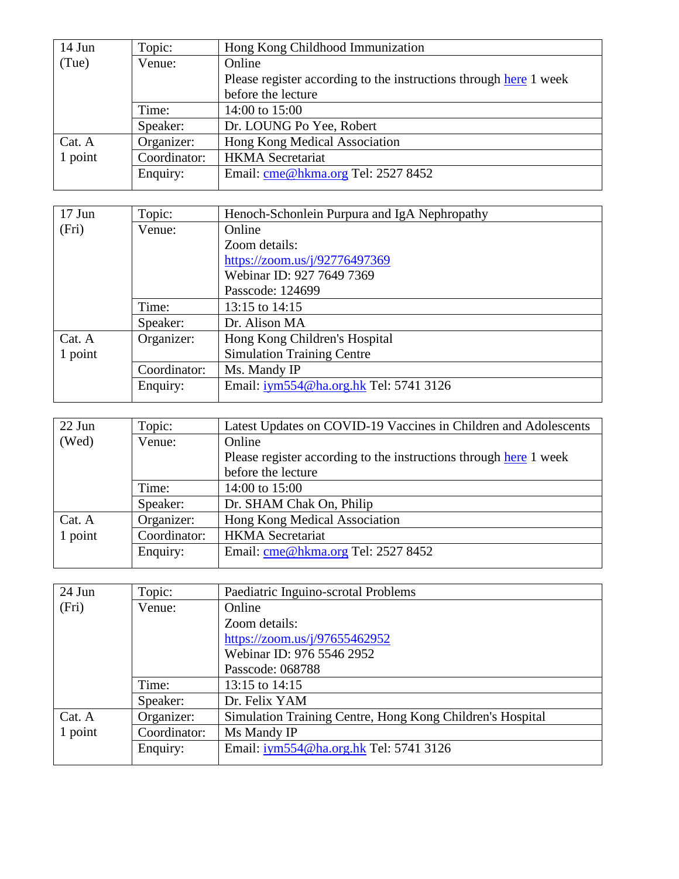| $14$ Jun | Topic:       | Hong Kong Childhood Immunization                                  |
|----------|--------------|-------------------------------------------------------------------|
| (Tue)    | Venue:       | Online                                                            |
|          |              | Please register according to the instructions through here 1 week |
|          |              | before the lecture                                                |
|          | Time:        | 14:00 to 15:00                                                    |
|          | Speaker:     | Dr. LOUNG Po Yee, Robert                                          |
| Cat. A   | Organizer:   | Hong Kong Medical Association                                     |
| 1 point  | Coordinator: | <b>HKMA</b> Secretariat                                           |
|          | Enquiry:     | Email: cme@hkma.org Tel: 2527 8452                                |
|          |              |                                                                   |

| $17$ Jun | Topic:       | Henoch-Schonlein Purpura and IgA Nephropathy |
|----------|--------------|----------------------------------------------|
| (Fri)    | Venue:       | Online                                       |
|          |              | Zoom details:                                |
|          |              | https://zoom.us/j/92776497369                |
|          |              | Webinar ID: 927 7649 7369                    |
|          |              | Passcode: 124699                             |
|          | Time:        | 13:15 to 14:15                               |
|          | Speaker:     | Dr. Alison MA                                |
| Cat. A   | Organizer:   | Hong Kong Children's Hospital                |
| 1 point  |              | <b>Simulation Training Centre</b>            |
|          | Coordinator: | Ms. Mandy IP                                 |
|          | Enquiry:     | Email: iym554@ha.org.hk Tel: 5741 3126       |

| $22$ Jun | Topic:       | Latest Updates on COVID-19 Vaccines in Children and Adolescents   |
|----------|--------------|-------------------------------------------------------------------|
| (Wed)    | Venue:       | Online                                                            |
|          |              | Please register according to the instructions through here 1 week |
|          |              | before the lecture                                                |
|          | Time:        | 14:00 to 15:00                                                    |
|          | Speaker:     | Dr. SHAM Chak On, Philip                                          |
| Cat. A   | Organizer:   | Hong Kong Medical Association                                     |
| 1 point  | Coordinator: | <b>HKMA</b> Secretariat                                           |
|          | Enquiry:     | Email: cme@hkma.org Tel: 2527 8452                                |
|          |              |                                                                   |

| $24$ Jun | Topic:       | Paediatric Inguino-scrotal Problems                       |
|----------|--------------|-----------------------------------------------------------|
| (Fri)    | Venue:       | Online                                                    |
|          |              | Zoom details:                                             |
|          |              | https://zoom.us/j/97655462952                             |
|          |              | Webinar ID: 976 5546 2952                                 |
|          |              | Passcode: 068788                                          |
|          | Time:        | 13:15 to 14:15                                            |
|          | Speaker:     | Dr. Felix YAM                                             |
| Cat. A   | Organizer:   | Simulation Training Centre, Hong Kong Children's Hospital |
| 1 point  | Coordinator: | Ms Mandy IP                                               |
|          | Enquiry:     | Email: iym554@ha.org.hk Tel: 5741 3126                    |